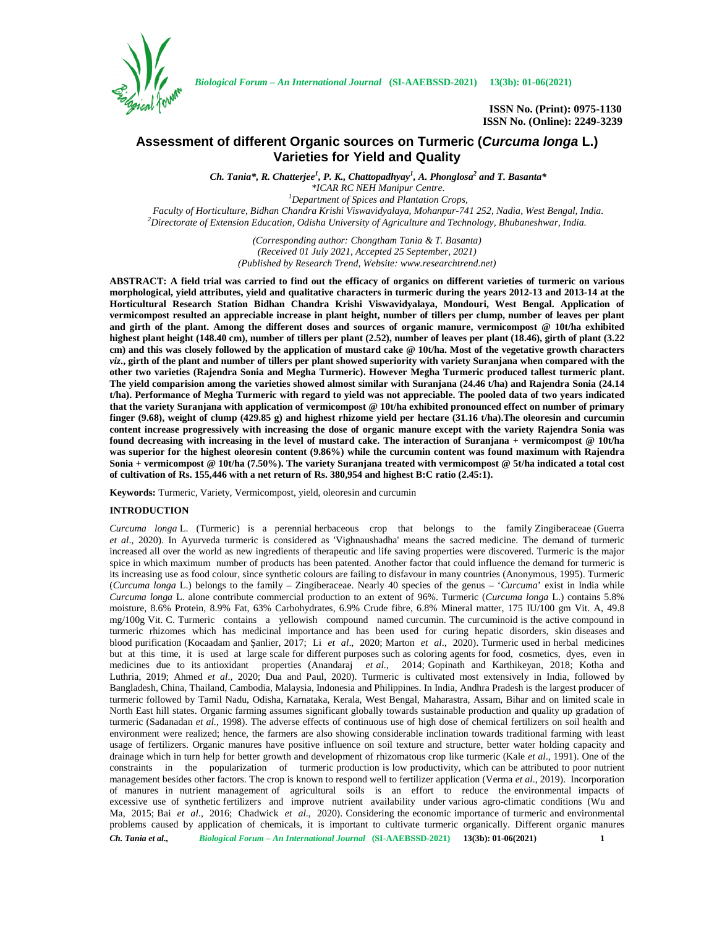

# **Assessment of different Organic sources on Turmeric (***Curcuma longa* **L.) Varieties for Yield and Quality**

*Ch. Tania\*, R. Chatterjee<sup>1</sup> , P. K., Chattopadhyay<sup>1</sup> , A. Phonglosa<sup>2</sup> and T. Basanta\**

*\*ICAR RC NEH Manipur Centre. <sup>1</sup>Department of Spices and Plantation Crops,*  ${}^{2}$ Directorate of Extension Education, Odisha University of Agriculture and Technology, Bhubaneshwar, India.

> *(Corresponding author: Chongtham Tania & T. Basanta) (Received 01 July 2021, Accepted 25 September, 2021) (Published by Research Trend, Website: <www.researchtrend.net>)*

**ABSTRACT: A field trial was carried to find out the efficacy of organics on different varieties of turmeric on various morphological, yield attributes, yield and qualitative characters in turmeric during the years 2012-13 and 2013-14 at the Horticultural Research Station Bidhan Chandra Krishi Viswavidyalaya, Mondouri, West Bengal. Application of vermicompost resulted an appreciable increase in plant height, number of tillers per clump, number of leaves per plant and girth of the plant. Among the different doses and sources of organic manure, vermicompost @ 10t/ha exhibited highest plant height (148.40 cm), number of tillers per plant (2.52), number of leaves per plant (18.46), girth of plant (3.22 cm) and this was closely followed by the application of mustard cake @ 10t/ha. Most of the vegetative growth characters** *viz***., girth of the plant and number of tillers per plant showed superiority with variety Suranjana when compared with the other two varieties (Rajendra Sonia and Megha Turmeric). However Megha Turmeric produced tallest turmeric plant. The yield comparision among the varieties showed almost similar with Suranjana (24.46 t/ha) and Rajendra Sonia (24.14 t/ha). Performance of Megha Turmeric with regard to yield was not appreciable. The pooled data of two years indicated that the variety Suranjana with application of vermicompost @ 10t/ha exhibited pronounced effect on number of primary finger (9.68), weight of clump (429.85 g) and highest rhizome yield per hectare (31.16 t/ha).The oleoresin and curcumin content increase progressively with increasing the dose of organic manure except with the variety Rajendra Sonia was found decreasing with increasing in the level of mustard cake. The interaction of Suranjana + vermicompost @ 10t/ha was superior for the highest oleoresin content (9.86%) while the curcumin content was found maximum with Rajendra Sonia + vermicompost @ 10t/ha (7.50%). The variety Suranjana treated with vermicompost @ 5t/ha indicated a total cost of cultivation of Rs. 155,446 with a net return of Rs. 380,954 and highest B:C ratio (2.45:1).**

**Keywords:** Turmeric, Variety, Vermicompost, yield, oleoresin and curcumin

# **INTRODUCTION**

*Ch. Tania et al., Biological Forum – An International Journal* **(SI-AAEBSSD-2021) 13(3b): 01-06(2021) 1** *Curcuma longa* L. (Turmeric) is a perennial herbaceous crop that belongs to the family Zingiberaceae (Guerra *et al*., 2020). In Ayurveda turmeric is considered as 'Vighnaushadha' means the sacred medicine. The demand of turmeric increased all over the world as new ingredients of therapeutic and life saving properties were discovered. Turmeric is the major spice in which maximum number of products has been patented. Another factor that could influence the demand for turmeric is its increasing use as food colour, since synthetic colours are failing to disfavour in many countries (Anonymous, 1995). Turmeric (*Curcuma longa* L.) belongs to the family – Zingiberaceae. Nearly 40 species of the genus – '*Curcuma*' exist in India while *Curcuma longa* L. alone contribute commercial production to an extent of 96%. Turmeric (*Curcuma longa* L.) contains 5.8% moisture, 8.6% Protein, 8.9% Fat, 63% Carbohydrates, 6.9% Crude fibre, 6.8% Mineral matter, 175 IU/100 gm Vit. A, 49.8 mg/100g Vit. C. Turmeric contains a yellowish compound named curcumin. The curcuminoid is the active compound in turmeric rhizomes which has medicinal importance and has been used for curing hepatic disorders, skin diseases and blood purification (Kocaadam and anlier, 2017; Li *et al.*, 2020; Marton *et al.*, 2020). Turmeric used in herbal medicines but at this time, it is used at large scale for different purposes such as coloring agents for food, cosmetics, dyes, even in medicines due to its antioxidant properties (Anandaraj *et al.,* 2014; Gopinath and Karthikeyan, 2018; Kotha and Luthria, 2019; Ahmed *et al*., 2020; Dua and Paul, 2020). Turmeric is cultivated most extensively in India, followed by Bangladesh, China, Thailand, Cambodia, Malaysia, Indonesia and Philippines. In India, Andhra Pradesh is the largest producer of turmeric followed by Tamil Nadu, Odisha, Karnataka, Kerala, West Bengal, Maharastra, Assam, Bihar and on limited scale in North East hill states. Organic farming assumes significant globally towards sustainable production and quality up gradation of turmeric (Sadanadan *et al.*, 1998). The adverse effects of continuous use of high dose of chemical fertilizers on soil health and environment were realized; hence, the farmers are also showing considerable inclination towards traditional farming with least usage of fertilizers. Organic manures have positive influence on soil texture and structure, better water holding capacity and drainage which in turn help for better growth and development of rhizomatous crop like turmeric (Kale *et al*., 1991). One of the constraints in the popularization of turmeric production is low productivity, which can be attributed to poor nutrient management besides other factors. The crop is known to respond well to fertilizer application (Verma *et al*., 2019). Incorporation of manures in nutrient management of agricultural soils is an effort to reduce the environmental impacts of excessive use of synthetic fertilizers and improve nutrient availability under various agro-climatic conditions (Wu and Ma, 2015; Bai *et al*., 2016; Chadwick *et al*., 2020). Considering the economic importance of turmeric and environmental problems caused by application of chemicals, it is important to cultivate turmeric organically. Different organic manures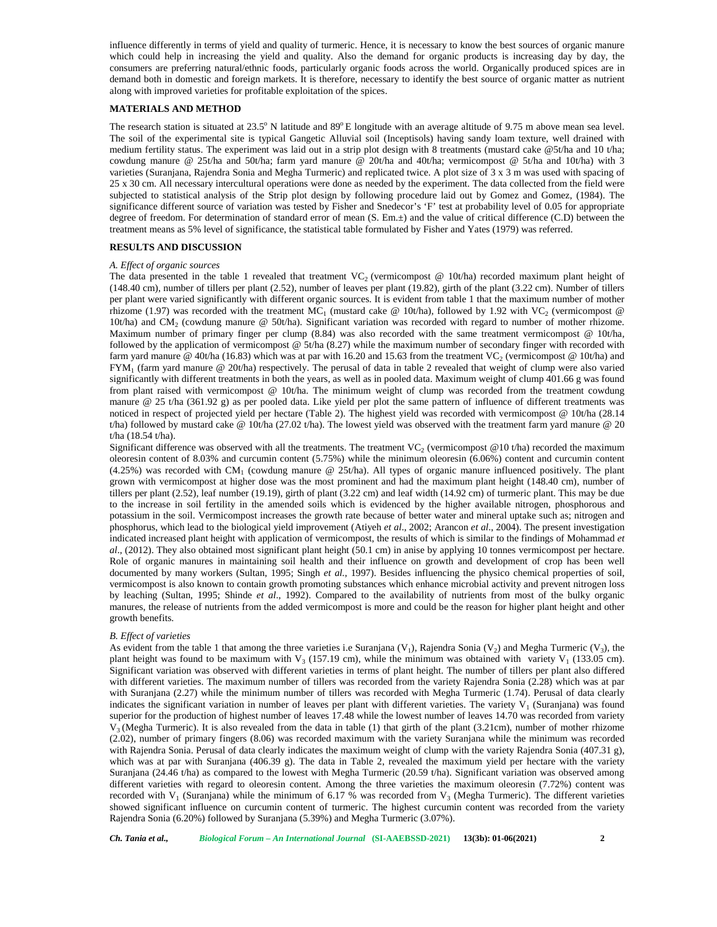influence differently in terms of yield and quality of turmeric. Hence, it is necessary to know the best sources of organic manure which could help in increasing the yield and quality. Also the demand for organic products is increasing day by day, the consumers are preferring natural/ethnic foods, particularly organic foods across the world. Organically produced spices are in demand both in domestic and foreign markets. It is therefore, necessary to identify the best source of organic matter as nutrient along with improved varieties for profitable exploitation of the spices.

# **MATERIALS AND METHOD**

The research station is situated at  $23.5^{\circ}$  N latitude and  $89^{\circ}$  E longitude with an average altitude of 9.75 m above mean sea level. The soil of the experimental site is typical Gangetic Alluvial soil (Inceptisols) having sandy loam texture, well drained with medium fertility status. The experiment was laid out in a strip plot design with 8 treatments (mustard cake @5t/ha and 10 t/ha; cowdung manure @ 25t/ha and 50t/ha; farm yard manure @ 20t/ha and 40t/ha; vermicompost @ 5t/ha and 10t/ha) with 3 varieties (Suranjana, Rajendra Sonia and Megha Turmeric) and replicated twice. A plot size of 3 x 3 m was used with spacing of 25 x 30 cm. All necessary intercultural operations were done as needed by the experiment. The data collected from the field were subjected to statistical analysis of the Strip plot design by following procedure laid out by Gomez and Gomez, (1984). The significance different source of variation was tested by Fisher and Snedecor's 'F' test at probability level of 0.05 for appropriate degree of freedom. For determination of standard error of mean (S. Em.±) and the value of critical difference (C.D) between the treatment means as 5% level of significance, the statistical table formulated by Fisher and Yates (1979) was referred.

#### **RESULTS AND DISCUSSION**

### *A. Effect of organic sources*

The data presented in the table 1 revealed that treatment  $VC_2$  (vermicompost @ 10t/ha) recorded maximum plant height of (148.40 cm), number of tillers per plant (2.52), number of leaves per plant (19.82), girth of the plant (3.22 cm). Number of tillers per plant were varied significantly with different organic sources. It is evident from table 1 that the maximum number of mother rhizome (1.97) was recorded with the treatment MC<sub>1</sub> (mustard cake @ 10t/ha), followed by 1.92 with VC<sub>2</sub> (vermicompost @ 10t/ha) and CM<sub>2</sub> (cowdung manure  $\textcircled{ }$  50t/ha). Significant variation was recorded with regard to number of mother rhizome. Maximum number of primary finger per clump (8.84) was also recorded with the same treatment vermicompost @ 10t/ha, followed by the application of vermicompost @ 5t/ha (8.27) while the maximum number of secondary finger with recorded with farm yard manure @ 40t/ha (16.83) which was at par with 16.20 and 15.63 from the treatment VC<sub>2</sub> (vermicompost @ 10t/ha) and FYM<sup>1</sup> (farm yard manure @ 20t/ha) respectively. The perusal of data in table 2 revealed that weight of clump were also varied significantly with different treatments in both the years, as well as in pooled data. Maximum weight of clump 401.66 g was found from plant raised with vermicompost @ 10t/ha. The minimum weight of clump was recorded from the treatment cowdung manure @ 25 t/ha (361.92 g) as per pooled data. Like yield per plot the same pattern of influence of different treatments was noticed in respect of projected yield per hectare (Table 2). The highest yield was recorded with vermicompost @ 10t/ha (28.14 t/ha) followed by mustard cake @ 10t/ha (27.02 t/ha). The lowest yield was observed with the treatment farm yard manure @ 20 t/ha (18.54 t/ha).

Significant difference was observed with all the treatments. The treatment VC<sub>2</sub> (vermicompost @10 t/ha) recorded the maximum oleoresin content of 8.03% and curcumin content (5.75%) while the minimum oleoresin (6.06%) content and curcumin content  $(4.25%)$  was recorded with CM<sub>1</sub> (cowdung manure @ 25t/ha). All types of organic manure influenced positively. The plant grown with vermicompost at higher dose was the most prominent and had the maximum plant height (148.40 cm), number of tillers per plant (2.52), leaf number (19.19), girth of plant (3.22 cm) and leaf width (14.92 cm) of turmeric plant. This may be due to the increase in soil fertility in the amended soils which is evidenced by the higher available nitrogen, phosphorous and potassium in the soil. Vermicompost increases the growth rate because of better water and mineral uptake such as; nitrogen and phosphorus, which lead to the biological yield improvement (Atiyeh *et al*., 2002; Arancon *et al*., 2004). The present investigation indicated increased plant height with application of vermicompost, the results of which is similar to the findings of Mohammad *et al*., (2012). They also obtained most significant plant height (50.1 cm) in anise by applying 10 tonnes vermicompost per hectare. Role of organic manures in maintaining soil health and their influence on growth and development of crop has been well documented by many workers (Sultan, 1995; Singh *et al.*, 1997). Besides influencing the physico chemical properties of soil, vermicompost is also known to contain growth promoting substances which enhance microbial activity and prevent nitrogen loss by leaching (Sultan, 1995; Shinde *et al*., 1992). Compared to the availability of nutrients from most of the bulky organic manures, the release of nutrients from the added vermicompost is more and could be the reason for higher plant height and other growth benefits.

#### *B. Effect of varieties*

As evident from the table 1 that among the three varieties i.e Suranjana  $(V_1)$ , Rajendra Sonia  $(V_2)$  and Megha Turmeric  $(V_3)$ , the plant height was found to be maximum with  $V_3$  (157.19 cm), while the minimum was obtained with variety  $V_1$  (133.05 cm). Significant variation was observed with different varieties in terms of plant height. The number of tillers per plant also differed with different varieties. The maximum number of tillers was recorded from the variety Rajendra Sonia (2.28) which was at par with Suranjana (2.27) while the minimum number of tillers was recorded with Megha Turmeric (1.74). Perusal of data clearly indicates the significant variation in number of leaves per plant with different varieties. The variety  $V_1$  (Suranjana) was found superior for the production of highest number of leaves 17.48 while the lowest number of leaves 14.70 was recorded from variety  $V_3$  (Megha Turmeric). It is also revealed from the data in table (1) that girth of the plant (3.21cm), number of mother rhizome (2.02), number of primary fingers (8.06) was recorded maximum with the variety Suranjana while the minimum was recorded with Rajendra Sonia. Perusal of data clearly indicates the maximum weight of clump with the variety Rajendra Sonia (407.31 g), which was at par with Suranjana (406.39 g). The data in Table 2, revealed the maximum yield per hectare with the variety Suranjana (24.46 t/ha) as compared to the lowest with Megha Turmeric (20.59 t/ha). Significant variation was observed among different varieties with regard to oleoresin content. Among the three varieties the maximum oleoresin (7.72%) content was recorded with  $V_1$  (Suranjana) while the minimum of 6.17 % was recorded from  $V_3$  (Megha Turmeric). The different varieties showed significant influence on curcumin content of turmeric. The highest curcumin content was recorded from the variety Rajendra Sonia (6.20%) followed by Suranjana (5.39%) and Megha Turmeric (3.07%).

*Ch. Tania et al., Biological Forum – An International Journal* **(SI-AAEBSSD-2021) 13(3b): 01-06(2021) 2**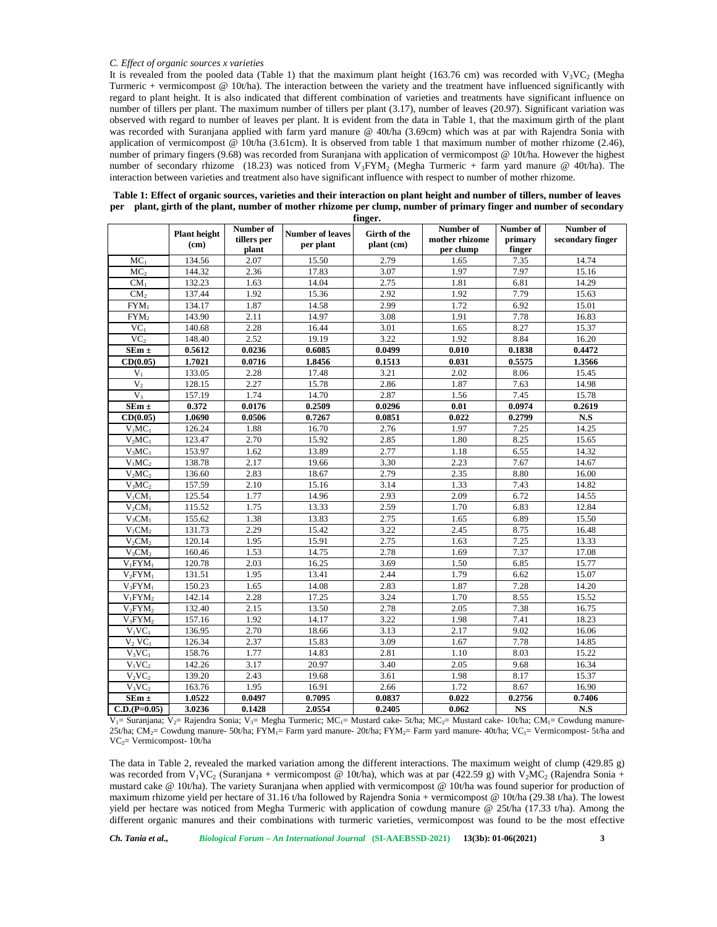#### *C. Effect of organic sources x varieties*

It is revealed from the pooled data (Table 1) that the maximum plant height (163.76 cm) was recorded with  $V_3VC_2$  (Megha Turmeric + vermicompost @ 10t/ha). The interaction between the variety and the treatment have influenced significantly with regard to plant height. It is also indicated that different combination of varieties and treatments have significant influence on number of tillers per plant. The maximum number of tillers per plant (3.17), number of leaves (20.97). Significant variation was observed with regard to number of leaves per plant. It is evident from the data in Table 1, that the maximum girth of the plant was recorded with Suranjana applied with farm yard manure @ 40t/ha (3.69cm) which was at par with Rajendra Sonia with application of vermicompost @ 10t/ha (3.61cm). It is observed from table 1 that maximum number of mother rhizome (2.46), number of primary fingers (9.68) was recorded from Suranjana with application of vermicompost @ 10t/ha. However the highest number of secondary rhizome (18.23) was noticed from  $V_3 FYM_2$  (Megha Turmeric + farm yard manure @ 40t/ha). The interaction between varieties and treatment also have significant influence with respect to number of mother rhizome.

|                                | finger.                     |                                   |                                      |                            |                                          |                                |                               |  |
|--------------------------------|-----------------------------|-----------------------------------|--------------------------------------|----------------------------|------------------------------------------|--------------------------------|-------------------------------|--|
|                                | <b>Plant</b> height<br>(cm) | Number of<br>tillers per<br>plant | <b>Number of leaves</b><br>per plant | Girth of the<br>plant (cm) | Number of<br>mother rhizome<br>per clump | Number of<br>primary<br>finger | Number of<br>secondary finger |  |
| MC <sub>1</sub>                | 134.56                      | 2.07                              | 15.50                                | 2.79                       | 1.65                                     | 7.35                           | 14.74                         |  |
| MC <sub>2</sub>                | 144.32                      | 2.36                              | 17.83                                | 3.07                       | 1.97                                     | 7.97                           | 15.16                         |  |
| CM <sub>1</sub>                | 132.23                      | 1.63                              | 14.04                                | 2.75                       | 1.81                                     | 6.81                           | 14.29                         |  |
| CM <sub>2</sub>                | 137.44                      | 1.92                              | 15.36                                | 2.92                       | 1.92                                     | 7.79                           | 15.63                         |  |
| $FYM_1$                        | 134.17                      | 1.87                              | 14.58                                | 2.99                       | 1.72                                     | 6.92                           | 15.01                         |  |
| FYM <sub>2</sub>               | 143.90                      | 2.11                              | 14.97                                | 3.08                       | 1.91                                     | 7.78                           | 16.83                         |  |
| VC <sub>1</sub>                | 140.68                      | 2.28                              | 16.44                                | 3.01                       | 1.65                                     | 8.27                           | 15.37                         |  |
| VC <sub>2</sub>                | 148.40                      | 2.52                              | 19.19                                | 3.22                       | 1.92                                     | 8.84                           | 16.20                         |  |
| $SEm \pm$                      | 0.5612                      | 0.0236                            | 0.6085                               | 0.0499                     | 0.010                                    | 0.1838                         | 0.4472                        |  |
| CD(0.05)                       | 1.7021                      | 0.0716                            | 1.8456                               | 0.1513                     | 0.031                                    | 0.5575                         | 1.3566                        |  |
| $V_1$                          | 133.05                      | 2.28                              | 17.48                                | 3.21                       | 2.02                                     | 8.06                           | 15.45                         |  |
| V <sub>2</sub>                 | 128.15                      | 2.27                              | 15.78                                | 2.86                       | 1.87                                     | 7.63                           | 14.98                         |  |
| $V_3$                          | 157.19                      | 1.74                              | 14.70                                | 2.87                       | 1.56                                     | 7.45                           | 15.78                         |  |
| $\overline{\text{SE}}$ m ±     | 0.372                       | 0.0176                            | 0.2509                               | 0.0296                     | 0.01                                     | 0.0974                         | 0.2619                        |  |
| CD(0.05)                       | 1.0690                      | 0.0506                            | 0.7267                               | 0.0851                     | 0.022                                    | 0.2799                         | N.S                           |  |
| $V_1MC_1$                      | 126.24                      | 1.88                              | 16.70                                | 2.76                       | 1.97                                     | 7.25                           | 14.25                         |  |
| $V_2MC_1$                      | 123.47                      | 2.70                              | 15.92                                | 2.85                       | 1.80                                     | 8.25                           | 15.65                         |  |
| $V_3MC_1$                      | 153.97                      | 1.62                              | 13.89                                | 2.77                       | 1.18                                     | 6.55                           | 14.32                         |  |
| $V_1MC_2$                      | 138.78                      | 2.17                              | 19.66                                | 3.30                       | 2.23                                     | 7.67                           | 14.67                         |  |
| $V_2MC_2$                      | 136.60                      | 2.83                              | 18.67                                | 2.79                       | 2.35                                     | 8.80                           | 16.00                         |  |
| $V_3MC_2$                      | 157.59                      | 2.10                              | 15.16                                | 3.14                       | 1.33                                     | 7.43                           | 14.82                         |  |
| $V_1CM_1$                      | 125.54                      | 1.77                              | 14.96                                | 2.93                       | 2.09                                     | 6.72                           | 14.55                         |  |
| $V_2CM_1$                      | 115.52                      | 1.75                              | 13.33                                | 2.59                       | 1.70                                     | 6.83                           | 12.84                         |  |
| $V_3CM_1$                      | 155.62                      | 1.38                              | 13.83                                | 2.75                       | 1.65                                     | 6.89                           | 15.50                         |  |
| $V_1CM_2$                      | 131.73                      | 2.29                              | 15.42                                | 3.22                       | 2.45                                     | 8.75                           | 16.48                         |  |
| $V_2CM_2$                      | 120.14                      | 1.95                              | 15.91                                | 2.75                       | 1.63                                     | 7.25                           | 13.33                         |  |
| V <sub>3</sub> CM <sub>2</sub> | 160.46                      | 1.53                              | 14.75                                | 2.78                       | 1.69                                     | 7.37                           | 17.08                         |  |
| $V_1$ FYM <sub>1</sub>         | 120.78                      | 2.03                              | 16.25                                | 3.69                       | 1.50                                     | 6.85                           | 15.77                         |  |
| $V_2$ FYM <sub>1</sub>         | 131.51                      | 1.95                              | 13.41                                | 2.44                       | 1.79                                     | 6.62                           | 15.07                         |  |
| $V_3$ FYM <sub>1</sub>         | 150.23                      | 1.65                              | 14.08                                | 2.83                       | 1.87                                     | 7.28                           | 14.20                         |  |
| $V_1$ FYM <sub>2</sub>         | 142.14                      | 2.28                              | 17.25                                | 3.24                       | 1.70                                     | 8.55                           | 15.52                         |  |
| $V_2$ FYM <sub>2</sub>         | 132.40                      | 2.15                              | 13.50                                | 2.78                       | 2.05                                     | 7.38                           | 16.75                         |  |
| $V_3$ FYM <sub>2</sub>         | 157.16                      | 1.92                              | 14.17                                | 3.22                       | 1.98                                     | 7.41                           | 18.23                         |  |
| $V_1VC_1$                      | 136.95                      | 2.70                              | 18.66                                | 3.13                       | 2.17                                     | 9.02                           | 16.06                         |  |
| $V_2$ VC <sub>1</sub>          | 126.34                      | 2.37                              | 15.83                                | 3.09                       | 1.67                                     | 7.78                           | 14.85                         |  |
| $V_3VC_1$                      | 158.76                      | 1.77                              | 14.83                                | 2.81                       | 1.10                                     | 8.03                           | 15.22                         |  |
| $V_1VC_2$                      | 142.26                      | 3.17                              | 20.97                                | 3.40                       | 2.05                                     | 9.68                           | 16.34                         |  |
| $V_2VC_2$                      | 139.20                      | 2.43                              | 19.68                                | 3.61                       | 1.98                                     | 8.17                           | 15.37                         |  |
| $V_3VC_2$                      | 163.76                      | 1.95                              | 16.91                                | 2.66                       | 1.72                                     | 8.67                           | 16.90                         |  |
| ${\bf SEm}$ $\pm$              | 1.0522                      | 0.0497                            | 0.7095                               | 0.0837                     | 0.022                                    | 0.2756                         | 0.7406                        |  |
| $C.D.(P=0.05)$                 | 3.0236                      | 0.1428                            | 2.0554                               | 0.2405                     | 0.062                                    | $_{\rm NS}$                    | $\mathbf{N.S}$                |  |

**Table 1: Effect of organic sources, varieties and their interaction on plant height and number of tillers, number of leaves per plant, girth of the plant, number of mother rhizome per clump, number of primary finger and number of secondary**

 $V_1$  Suranjana; V<sub>2</sub>= Rajendra Sonia; V<sub>3</sub>= Megha Turmeric; MC<sub>1</sub>= Mustard cake- 5t/ha; MC<sub>2</sub>= Mustard cake- 10t/ha; CM<sub>1</sub>= Cowdung manure-25t/ha; CM<sub>2</sub>= Cowdung manure- 50t/ha; FYM<sub>1</sub>= Farm yard manure- 20t/ha; FYM<sub>2</sub>= Farm yard manure- 40t/ha; VC<sub>1</sub>= Vermicompost- 5t/ha and VC2= Vermicompost- 10t/ha

The data in Table 2, revealed the marked variation among the different interactions. The maximum weight of clump (429.85 g) was recorded from  $V_1VC_2$  (Suranjana + vermicompost @ 10t/ha), which was at par (422.59 g) with  $V_2MC_2$  (Rajendra Sonia + mustard cake @ 10t/ha). The variety Suranjana when applied with vermicompost @ 10t/ha was found superior for production of maximum rhizome yield per hectare of 31.16 t/ha followed by Rajendra Sonia + vermicompost @ 10t/ha (29.38 t/ha). The lowest yield per hectare was noticed from Megha Turmeric with application of cowdung manure @ 25t/ha (17.33 t/ha). Among the different organic manures and their combinations with turmeric varieties, vermicompost was found to be the most effective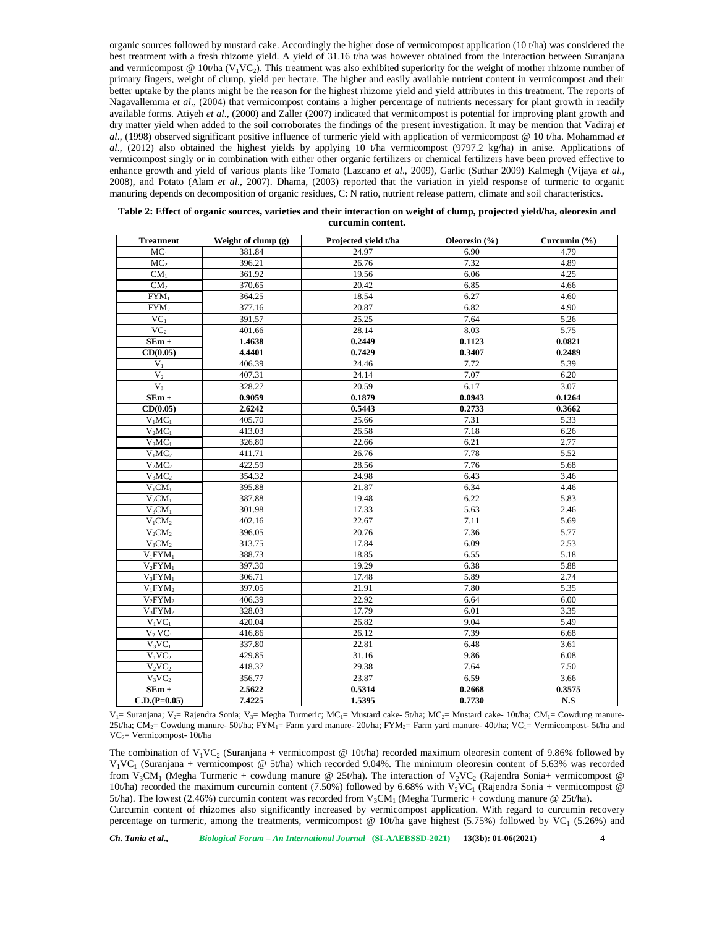organic sources followed by mustard cake. Accordingly the higher dose of vermicompost application (10 t/ha) was considered the best treatment with a fresh rhizome yield. A yield of 31.16 t/ha was however obtained from the interaction between Suranjana and vermicompost @ 10t/ha ( $V_1V_2$ ). This treatment was also exhibited superiority for the weight of mother rhizome number of primary fingers, weight of clump, yield per hectare. The higher and easily available nutrient content in vermicompost and their better uptake by the plants might be the reason for the highest rhizome yield and yield attributes in this treatment. The reports of Nagavallemma *et al*., (2004) that vermicompost contains a higher percentage of nutrients necessary for plant growth in readily available forms. Atiyeh *et al*., (2000) and Zaller (2007) indicated that vermicompost is potential for improving plant growth and dry matter yield when added to the soil corroborates the findings of the present investigation. It may be mention that Vadiraj *et al*., (1998) observed significant positive influence of turmeric yield with application of vermicompost @ 10 t/ha. Mohammad *et al*., (2012) also obtained the highest yields by applying 10 t/ha vermicompost (9797.2 kg/ha) in anise. Applications of vermicompost singly or in combination with either other organic fertilizers or chemical fertilizers have been proved effective to enhance growth and yield of various plants like Tomato (Lazcano *et al*., 2009), Garlic (Suthar 2009) Kalmegh (Vijaya *et al.,* 2008), and Potato (Alam *et al*., 2007). Dhama, (2003) reported that the variation in yield response of turmeric to organic manuring depends on decomposition of organic residues, C: N ratio, nutrient release pattern, climate and soil characteristics.

| <b>Treatment</b>                | Weight of clump (g) | Projected vield t/ha | Oleoresin $(\% )$ | Curcumin (%) |
|---------------------------------|---------------------|----------------------|-------------------|--------------|
| $MC_1$                          | 381.84              | 24.97                | 6.90              | 4.79         |
| MC <sub>2</sub>                 | 396.21              | 26.76                | 7.32              | 4.89         |
| CM <sub>1</sub>                 | 361.92              | 19.56                | 6.06              | 4.25         |
| CM <sub>2</sub>                 | 370.65              | 20.42                | 6.85              | 4.66         |
| $FYM_1$                         | 364.25              | 18.54                | 6.27              | 4.60         |
| FYM <sub>2</sub>                | 377.16              | 20.87                | 6.82              | 4.90         |
| VC <sub>1</sub>                 | 391.57              | 25.25                | 7.64              | 5.26         |
| VC <sub>2</sub>                 | 401.66              | 28.14                | 8.03              | 5.75         |
| $SEm \pm$                       | 1.4638              | 0.2449               | 0.1123            | 0.0821       |
| CD(0.05)                        | 4.4401              | 0.7429               | 0.3407            | 0.2489       |
| $V_1$                           | 406.39              | 24.46                | 7.72              | 5.39         |
| V <sub>2</sub>                  | 407.31              | 24.14                | 7.07              | 6.20         |
| V <sub>3</sub>                  | 328.27              | 20.59                | 6.17              | 3.07         |
| $SEm \pm$                       | 0.9059              | 0.1879               | 0.0943            | 0.1264       |
| CD(0.05)                        | 2.6242              | 0.5443               | 0.2733            | 0.3662       |
| $V_1MC_1$                       | 405.70              | 25.66                | 7.31              | 5.33         |
| $V_2MC_1$                       | 413.03              | 26.58                | 7.18              | 6.26         |
| $V_3MC_1$                       | 326.80              | 22.66                | 6.21              | 2.77         |
| $\overline{V_1MC_2}$            | 411.71              | 26.76                | 7.78              | 5.52         |
| $V_2MC_2$                       | 422.59              | 28.56                | 7.76              | 5.68         |
| $V_3MC_2$                       | 354.32              | 24.98                | 6.43              | 3.46         |
| $V_1CM_1$                       | 395.88              | 21.87                | 6.34              | 4.46         |
| $V_2CM_1$                       | 387.88              | 19.48                | 6.22              | 5.83         |
| $V_3CM_1$                       | 301.98              | 17.33                | 5.63              | 2.46         |
| $V_1CM_2$                       | 402.16              | 22.67                | 7.11              | 5.69         |
| $V_2CM_2$                       | 396.05              | 20.76                | 7.36              | 5.77         |
| V <sub>3</sub> CM <sub>2</sub>  | 313.75              | 17.84                | 6.09              | 2.53         |
| $V_1$ FYM <sub>1</sub>          | 388.73              | 18.85                | 6.55              | 5.18         |
| $V_2$ FYM <sub>1</sub>          | 397.30              | 19.29                | 6.38              | 5.88         |
| $V_3$ FYM <sub>1</sub>          | 306.71              | 17.48                | 5.89              | 2.74         |
| $V_1$ FYM <sub>2</sub>          | 397.05              | 21.91                | 7.80              | 5.35         |
| $V_2$ FYM <sub>2</sub>          | 406.39              | 22.92                | 6.64              | 6.00         |
| V <sub>3</sub> FYM <sub>2</sub> | 328.03              | 17.79                | 6.01              | 3.35         |
| $V_1VC_1$                       | 420.04              | 26.82                | 9.04              | 5.49         |
| $V_2$ VC <sub>1</sub>           | 416.86              | 26.12                | 7.39              | 6.68         |
| $V_3VC_1$                       | 337.80              | 22.81                | 6.48              | 3.61         |
| $V_1VC_2$                       | 429.85              | 31.16                | 9.86              | 6.08         |
| $V_2VC_2$                       | 418.37              | 29.38                | 7.64              | 7.50         |
| V <sub>3</sub> VC <sub>2</sub>  | 356.77              | 23.87                | 6.59              | 3.66         |
| $SEm \pm$                       | 2.5622              | 0.5314               | 0.2668            | 0.3575       |
| $C.D.(P=0.05)$                  | 7.4225              | 1.5395               | 0.7730            | N.S          |

| Table 2: Effect of organic sources, varieties and their interaction on weight of clump, projected yield/ha, oleoresin and |  |
|---------------------------------------------------------------------------------------------------------------------------|--|
| curcumin content.                                                                                                         |  |

V<sub>1</sub>= Suranjana; V<sub>2</sub>= Rajendra Sonia; V<sub>3</sub>= Megha Turmeric; MC<sub>1</sub>= Mustard cake- 5t/ha; MC<sub>2</sub>= Mustard cake- 10t/ha; CM<sub>1</sub>= Cowdung manure-25t/ha; CM<sub>2</sub>= Cowdung manure- 50t/ha; FYM<sub>1</sub>= Farm yard manure- 20t/ha; FYM<sub>2</sub>= Farm yard manure- 40t/ha; VC<sub>1</sub>= Vermicompost- 5t/ha and VC2= Vermicompost- 10t/ha

The combination of  $V_1VC_2$  (Suranjana + vermicompost @ 10t/ha) recorded maximum oleoresin content of 9.86% followed by  $V_1VC_1$  (Suranjana + vermicompost @ 5t/ha) which recorded 9.04%. The minimum oleoresin content of 5.63% was recorded from V<sub>3</sub>CM<sub>1</sub> (Megha Turmeric + cowdung manure @ 25t/ha). The interaction of V<sub>2</sub>VC<sub>2</sub> (Rajendra Sonia+ vermicompost @ 10t/ha) recorded the maximum curcumin content (7.50%) followed by 6.68% with  $V_2VC_1$  (Rajendra Sonia + vermicompost @ 5t/ha). The lowest (2.46%) curcumin content was recorded from  $V_3CM_1$  (Megha Turmeric + cowdung manure @ 25t/ha). Curcumin content of rhizomes also significantly increased by vermicompost application. With regard to curcumin recovery

percentage on turmeric, among the treatments, vermicompost @ 10t/ha gave highest  $(5.75%)$  followed by VC<sub>1</sub>  $(5.26%)$  and

*Ch. Tania et al., Biological Forum – An International Journal* **(SI-AAEBSSD-2021) 13(3b): 01-06(2021) 4**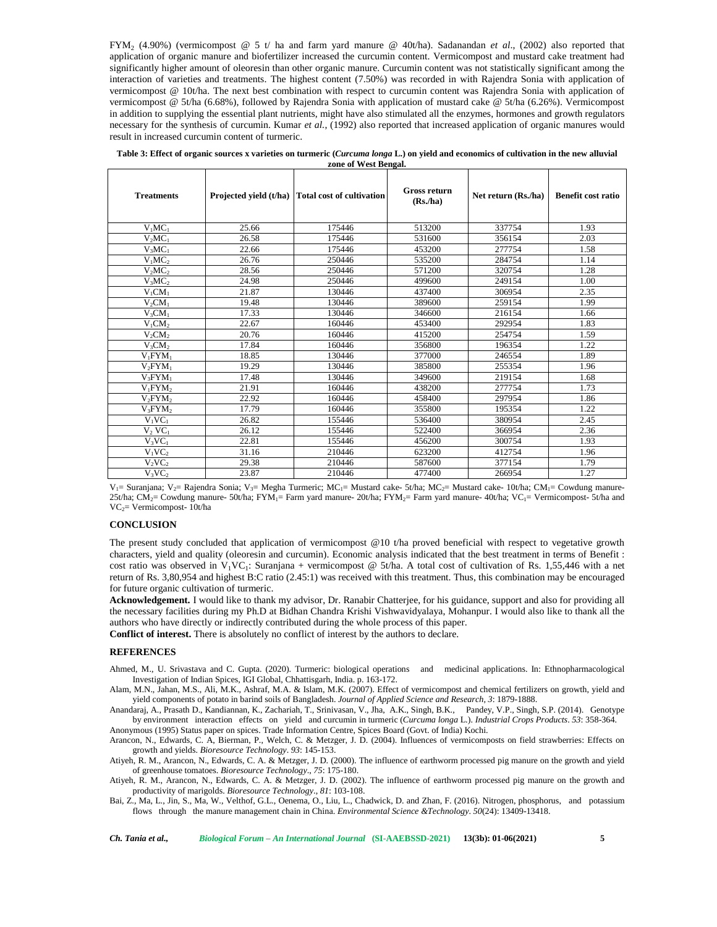FYM<sup>2</sup> (4.90%) (vermicompost @ 5 t/ ha and farm yard manure @ 40t/ha). Sadanandan *et al*., (2002) also reported that application of organic manure and biofertilizer increased the curcumin content. Vermicompost and mustard cake treatment had significantly higher amount of oleoresin than other organic manure. Curcumin content was not statistically significant among the interaction of varieties and treatments. The highest content (7.50%) was recorded in with Rajendra Sonia with application of vermicompost @ 10t/ha. The next best combination with respect to curcumin content was Rajendra Sonia with application of vermicompost @ 5t/ha (6.68%), followed by Rajendra Sonia with application of mustard cake @ 5t/ha (6.26%). Vermicompost in addition to supplying the essential plant nutrients, might have also stimulated all the enzymes, hormones and growth regulators necessary for the synthesis of curcumin. Kumar *et al.*, (1992) also reported that increased application of organic manures would result in increased curcumin content of turmeric.

| Table 3: Effect of organic sources x varieties on turmeric (Curcuma longa L.) on yield and economics of cultivation in the new alluvial |
|-----------------------------------------------------------------------------------------------------------------------------------------|
| zone of West Bengal.                                                                                                                    |

| <b>Treatments</b>               |       | Projected yield (t/ha) Total cost of cultivation | <b>Gross return</b><br>(Rs/ha) | Net return (Rs./ha) | <b>Benefit cost ratio</b> |
|---------------------------------|-------|--------------------------------------------------|--------------------------------|---------------------|---------------------------|
| $V_1MC_1$                       | 25.66 | 175446                                           | 513200                         | 337754              | 1.93                      |
| $V_2MC_1$                       | 26.58 | 175446                                           | 531600                         | 356154              | 2.03                      |
| $V_3MC_1$                       | 22.66 | 175446                                           | 453200                         | 277754              | 1.58                      |
| $V_1MC_2$                       | 26.76 | 250446                                           | 535200                         | 284754              | 1.14                      |
| $V_2MC_2$                       | 28.56 | 250446                                           | 571200                         | 320754              | 1.28                      |
| $V_3MC_2$                       | 24.98 | 250446                                           | 499600                         | 249154              | 1.00                      |
| $V_1CM_1$                       | 21.87 | 130446                                           | 437400                         | 306954              | 2.35                      |
| $V_2CM_1$                       | 19.48 | 130446                                           | 389600                         | 259154              | 1.99                      |
| $V_3CM_1$                       | 17.33 | 130446                                           | 346600                         | 216154              | 1.66                      |
| $V_1CM_2$                       | 22.67 | 160446                                           | 453400                         | 292954              | 1.83                      |
| $V_2CM_2$                       | 20.76 | 160446                                           | 415200                         | 254754              | 1.59                      |
| $V_3CM_2$                       | 17.84 | 160446                                           | 356800                         | 196354              | 1.22                      |
| $V_1$ FYM <sub>1</sub>          | 18.85 | 130446                                           | 377000                         | 246554              | 1.89                      |
| $V_2$ FYM <sub>1</sub>          | 19.29 | 130446                                           | 385800                         | 255354              | 1.96                      |
| $V_3$ FYM <sub>1</sub>          | 17.48 | 130446                                           | 349600                         | 219154              | 1.68                      |
| $V_1$ FYM <sub>2</sub>          | 21.91 | 160446                                           | 438200                         | 277754              | 1.73                      |
| V <sub>2</sub> FYM <sub>2</sub> | 22.92 | 160446                                           | 458400                         | 297954              | 1.86                      |
| $V_3$ FYM <sub>2</sub>          | 17.79 | 160446                                           | 355800                         | 195354              | 1.22                      |
| $V_1VC_1$                       | 26.82 | 155446                                           | 536400                         | 380954              | 2.45                      |
| $V_2$ VC <sub>1</sub>           | 26.12 | 155446                                           | 522400                         | 366954              | 2.36                      |
| $V_3VC_1$                       | 22.81 | 155446                                           | 456200                         | 300754              | 1.93                      |
| $V_1VC_2$                       | 31.16 | 210446                                           | 623200                         | 412754              | 1.96                      |
| $V_2VC_2$                       | 29.38 | 210446                                           | 587600                         | 377154              | 1.79                      |
| $V_3VC_2$                       | 23.87 | 210446                                           | 477400                         | 266954              | 1.27                      |

 $V_1$ = Suranjana; V<sub>2</sub>= Rajendra Sonia; V<sub>3</sub>= Megha Turmeric; MC<sub>1</sub>= Mustard cake- 5t/ha; MC<sub>2</sub>= Mustard cake- 10t/ha; CM<sub>1</sub>= Cowdung manure-25t/ha; CM<sub>2</sub>= Cowdung manure- 50t/ha; FYM<sub>1</sub>= Farm yard manure- 20t/ha; FYM<sub>2</sub>= Farm yard manure- 40t/ha; VC<sub>1</sub>= Vermicompost- 5t/ha and VC2= Vermicompost- 10t/ha

## **CONCLUSION**

The present study concluded that application of vermicompost @10 t/ha proved beneficial with respect to vegetative growth characters, yield and quality (oleoresin and curcumin). Economic analysis indicated that the best treatment in terms of Benefit : cost ratio was observed in  $V_1VC_1$ : Suranjana + vermicompost @ 5t/ha. A total cost of cultivation of Rs. 1,55,446 with a net return of Rs. 3,80,954 and highest B:C ratio (2.45:1) was received with this treatment. Thus, this combination may be encouraged for future organic cultivation of turmeric.

**Acknowledgement.** I would like to thank my advisor, Dr. Ranabir Chatterjee, for his guidance, support and also for providing all the necessary facilities during my Ph.D at Bidhan Chandra Krishi Vishwavidyalaya, Mohanpur. I would also like to thank all the authors who have directly or indirectly contributed during the whole process of this paper.

**Conflict of interest.** There is absolutely no conflict of interest by the authors to declare.

## **REFERENCES**

Ahmed, M., U. Srivastava and C. Gupta. (2020). Turmeric: biological operations and medicinal applications. In: Ethnopharmacological Investigation of Indian Spices, IGI Global, Chhattisgarh, India. p. 163-172.

Alam, M.N., Jahan, M.S., Ali, M.K., Ashraf, M.A. & Islam, M.K. (2007). Effect of vermicompost and chemical fertilizers on growth, yield and yield components of potato in barind soils of Bangladesh. *Journal of Applied Science and Research, 3*: 1879-1888.

Anandaraj, A., Prasath D., Kandiannan, K., Zachariah, T., Srinivasan, V., Jha, A.K., Singh, B.K., Pandey, V.P., Singh, S.P. (2014). Genotype by environment interaction effects on yield and curcumin in turmeric (*Curcuma longa* L.). *Industrial Crops Products*. *53*: 358-364. Anonymous (1995) Status paper on spices. Trade Information Centre, Spices Board (Govt. of India) Kochi.

Arancon, N., Edwards, C. A, Bierman, P., Welch, C. & Metzger, J. D. (2004). Influences of vermicomposts on field strawberries: Effects on growth and yields. *Bioresource Technology*. *93*: 145-153.

Atiyeh, R. M., Arancon, N., Edwards, C. A. & Metzger, J. D. (2000). The influence of earthworm processed pig manure on the growth and yield of greenhouse tomatoes. *Bioresource Technology*., *75*: 175-180.

Atiyeh, R. M., Arancon, N., Edwards, C. A. & Metzger, J. D. (2002). The influence of earthworm processed pig manure on the growth and productivity of marigolds. *Bioresource Technology*., *81*: 103-108.

Bai, Z., Ma, L., Jin, S., Ma, W., Velthof, G.L., Oenema, O., Liu, L., Chadwick, D. and Zhan, F. (2016). Nitrogen, phosphorus, and potassium flows through the manure management chain in China. *Environmental Science &Technology*. *50*(24): 13409-13418.